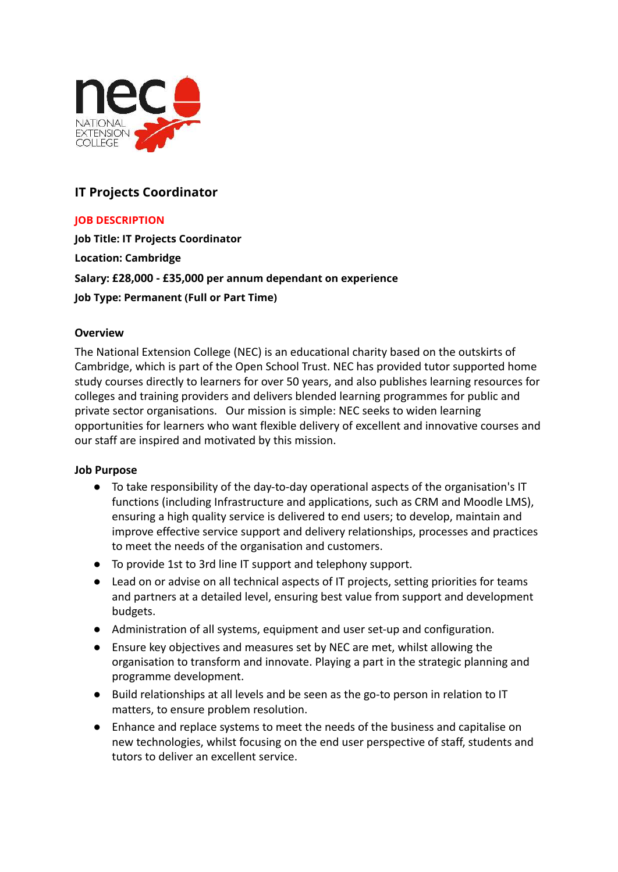

# **IT Projects Coordinator**

# **JOB DESCRIPTION**

**Job Title: IT Projects Coordinator Location: Cambridge Salary: £28,000 - £35,000 per annum dependant on experience Job Type: Permanent (Full or Part Time)**

### **Overview**

The National Extension College (NEC) is an educational charity based on the outskirts of Cambridge, which is part of the Open School Trust. NEC has provided tutor supported home study courses directly to learners for over 50 years, and also publishes learning resources for colleges and training providers and delivers blended learning programmes for public and private sector organisations. Our mission is simple: NEC seeks to widen learning opportunities for learners who want flexible delivery of excellent and innovative courses and our staff are inspired and motivated by this mission.

#### **Job Purpose**

- To take responsibility of the day-to-day operational aspects of the organisation's IT functions (including Infrastructure and applications, such as CRM and Moodle LMS), ensuring a high quality service is delivered to end users; to develop, maintain and improve effective service support and delivery relationships, processes and practices to meet the needs of the organisation and customers.
- To provide 1st to 3rd line IT support and telephony support.
- Lead on or advise on all technical aspects of IT projects, setting priorities for teams and partners at a detailed level, ensuring best value from support and development budgets.
- Administration of all systems, equipment and user set-up and configuration.
- Ensure key objectives and measures set by NEC are met, whilst allowing the organisation to transform and innovate. Playing a part in the strategic planning and programme development.
- Build relationships at all levels and be seen as the go-to person in relation to IT matters, to ensure problem resolution.
- Enhance and replace systems to meet the needs of the business and capitalise on new technologies, whilst focusing on the end user perspective of staff, students and tutors to deliver an excellent service.